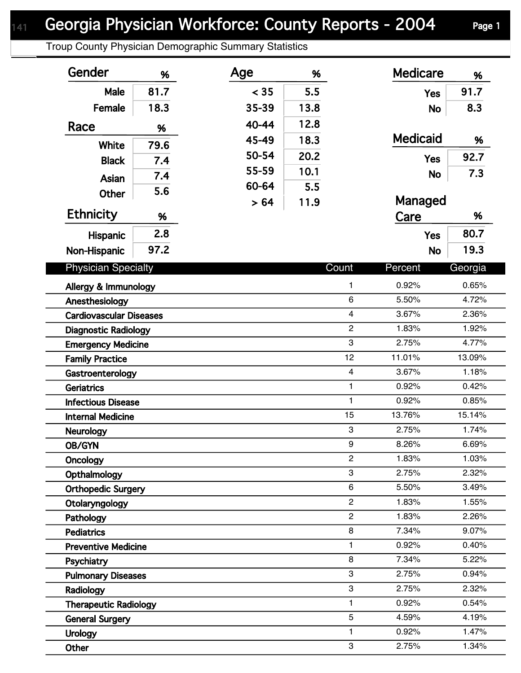## Georgia Physician Workforce: County Reports - 2004 Page 1

Troup County Physician Demographic Summary Statistics

| Gender                         | %    | Age   | %    |                | <b>Medicare</b> | %       |  |
|--------------------------------|------|-------|------|----------------|-----------------|---------|--|
| Male                           | 81.7 | < 35  | 5.5  |                | <b>Yes</b>      | 91.7    |  |
| Female                         | 18.3 | 35-39 | 13.8 |                | <b>No</b>       | 8.3     |  |
| Race                           | %    | 40-44 | 12.8 |                |                 |         |  |
|                                |      | 45-49 | 18.3 |                | <b>Medicaid</b> | %       |  |
| White                          | 79.6 | 50-54 | 20.2 |                |                 | 92.7    |  |
| <b>Black</b>                   | 7.4  | 55-59 | 10.1 |                | <b>Yes</b>      | 7.3     |  |
| Asian                          | 7.4  | 60-64 | 5.5  |                | <b>No</b>       |         |  |
| <b>Other</b>                   | 5.6  | > 64  | 11.9 |                | Managed         |         |  |
| <b>Ethnicity</b>               | %    |       |      |                | Care            | %       |  |
|                                | 2.8  |       |      |                | <b>Yes</b>      | 80.7    |  |
| Hispanic                       | 97.2 |       |      |                |                 | 19.3    |  |
| Non-Hispanic                   |      |       |      |                | <b>No</b>       |         |  |
| <b>Physician Specialty</b>     |      |       |      | Count          | Percent         | Georgia |  |
| Allergy & Immunology           |      |       |      | $\mathbf{1}$   | 0.92%           | 0.65%   |  |
| Anesthesiology                 |      |       |      | 6              | 5.50%           | 4.72%   |  |
| <b>Cardiovascular Diseases</b> |      |       |      | $\overline{4}$ | 3.67%           | 2.36%   |  |
| <b>Diagnostic Radiology</b>    |      |       |      | $\overline{2}$ | 1.83%           | 1.92%   |  |
| <b>Emergency Medicine</b>      |      |       |      | 3              | 2.75%           | 4.77%   |  |
| <b>Family Practice</b>         |      |       |      | 12             | 11.01%          | 13.09%  |  |
| Gastroenterology               |      |       |      | $\overline{4}$ | 3.67%           | 1.18%   |  |
| <b>Geriatrics</b>              |      |       |      | 1              | 0.92%           | 0.42%   |  |
| <b>Infectious Disease</b>      |      |       |      | $\mathbf{1}$   | 0.92%           | 0.85%   |  |
| <b>Internal Medicine</b>       |      |       |      | 15             | 13.76%          | 15.14%  |  |
| Neurology                      |      |       |      | 3              | 2.75%           | 1.74%   |  |
| OB/GYN                         |      |       |      | 9              | 8.26%           | 6.69%   |  |
| Oncology                       |      |       |      | $\overline{2}$ | 1.83%           | 1.03%   |  |
| Opthalmology                   |      |       |      | 3              | 2.75%           | 2.32%   |  |
| <b>Orthopedic Surgery</b>      |      |       |      | 6              | 5.50%           | 3.49%   |  |
| Otolaryngology                 |      |       |      | $\overline{2}$ | 1.83%           | 1.55%   |  |
| Pathology                      |      |       |      | $\overline{2}$ | 1.83%           | 2.26%   |  |
| <b>Pediatrics</b>              |      |       |      | 8              | 7.34%           | 9.07%   |  |
| <b>Preventive Medicine</b>     |      |       |      | 1              | 0.92%           | 0.40%   |  |
| Psychiatry                     |      |       |      | 8              | 7.34%           | 5.22%   |  |
| <b>Pulmonary Diseases</b>      |      |       |      | 3              | 2.75%           | 0.94%   |  |
| Radiology                      |      |       |      | 3              | 2.75%           | 2.32%   |  |
| <b>Therapeutic Radiology</b>   |      |       |      | 1              | 0.92%           | 0.54%   |  |
| <b>General Surgery</b>         |      |       |      | 5              | 4.59%           | 4.19%   |  |
| <b>Urology</b>                 |      |       |      | 1              | 0.92%           | 1.47%   |  |
| Other                          |      |       |      | 3              | 2.75%           | 1.34%   |  |